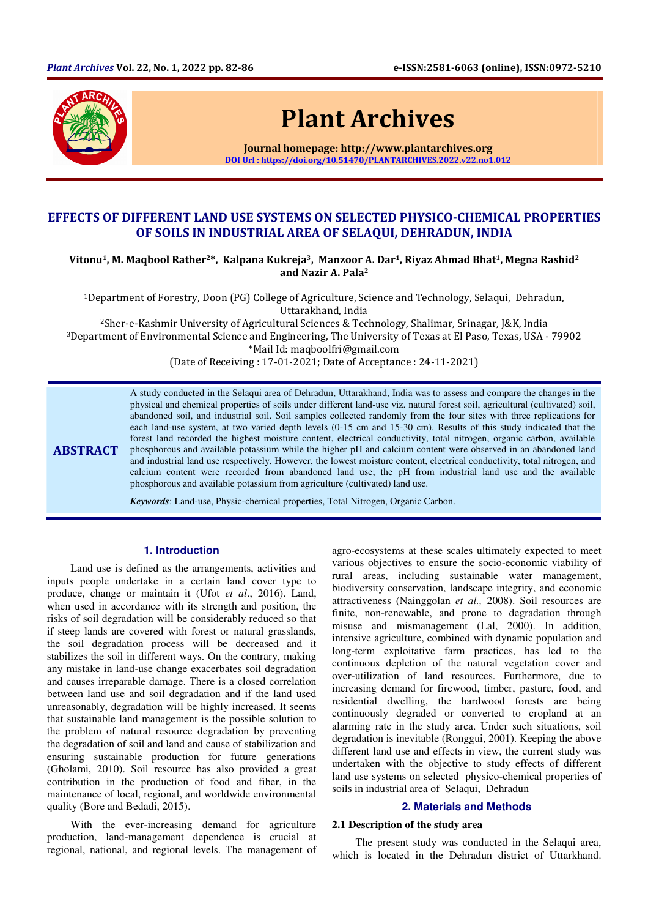

**ABSTRACT** 

# Plant Archives

Journal homepage: http://www.plantarchives.org DOI Url : https://doi.org/10.51470/PLANTARCHIVES.2022.v22.no1.012

# EFFECTS OF DIFFERENT LAND USE SYSTEMS ON SELECTED PHYSICO-CHEMICAL PROPERTIES OF SOILS IN INDUSTRIAL AREA OF SELAQUI, DEHRADUN, INDIA

Vitonu<sup>1</sup>, M. Maqbool Rather<sup>2\*</sup>, Kalpana Kukreja<sup>3</sup>, Manzoor A. Dar<sup>1</sup>, Riyaz Ahmad Bhat<sup>1</sup>, Megna Rashid<sup>2</sup> and Nazir A. Pala<sup>2</sup>

<sup>1</sup>Department of Forestry, Doon (PG) College of Agriculture, Science and Technology, Selaqui, Dehradun, Uttarakhand, India

<sup>2</sup>Sher-e-Kashmir University of Agricultural Sciences & Technology, Shalimar, Srinagar, J&K, India <sup>3</sup>Department of Environmental Science and Engineering, The University of Texas at El Paso, Texas, USA - 79902 \*Mail Id: maqboolfri@gmail.com

(Date of Receiving : 17-01-2021; Date of Acceptance : 24-11-2021)

A study conducted in the Selaqui area of Dehradun, Uttarakhand, India was to assess and compare the changes in the physical and chemical properties of soils under different land-use viz. natural forest soil, agricultural (cultivated) soil, abandoned soil, and industrial soil. Soil samples collected randomly from the four sites with three replications for each land-use system, at two varied depth levels (0-15 cm and 15-30 cm). Results of this study indicated that the forest land recorded the highest moisture content, electrical conductivity, total nitrogen, organic carbon, available phosphorous and available potassium while the higher pH and calcium content were observed in an abandoned land and industrial land use respectively. However, the lowest moisture content, electrical conductivity, total nitrogen, and calcium content were recorded from abandoned land use; the pH from industrial land use and the available phosphorous and available potassium from agriculture (cultivated) land use.

*Keywords*: Land-use, Physic-chemical properties, Total Nitrogen, Organic Carbon.

## **1. Introduction**

Land use is defined as the arrangements, activities and inputs people undertake in a certain land cover type to produce, change or maintain it (Ufot *et al*., 2016). Land, when used in accordance with its strength and position, the risks of soil degradation will be considerably reduced so that if steep lands are covered with forest or natural grasslands, the soil degradation process will be decreased and it stabilizes the soil in different ways. On the contrary, making any mistake in land-use change exacerbates soil degradation and causes irreparable damage. There is a closed correlation between land use and soil degradation and if the land used unreasonably, degradation will be highly increased. It seems that sustainable land management is the possible solution to the problem of natural resource degradation by preventing the degradation of soil and land and cause of stabilization and ensuring sustainable production for future generations (Gholami, 2010). Soil resource has also provided a great contribution in the production of food and fiber, in the maintenance of local, regional, and worldwide environmental quality (Bore and Bedadi, 2015).

With the ever-increasing demand for agriculture production, land-management dependence is crucial at regional, national, and regional levels. The management of

agro-ecosystems at these scales ultimately expected to meet various objectives to ensure the socio-economic viability of rural areas, including sustainable water management, biodiversity conservation, landscape integrity, and economic attractiveness (Nainggolan *et al.,* 2008). Soil resources are finite, non-renewable, and prone to degradation through misuse and mismanagement (Lal, 2000). In addition, intensive agriculture, combined with dynamic population and long-term exploitative farm practices, has led to the continuous depletion of the natural vegetation cover and over-utilization of land resources. Furthermore, due to increasing demand for firewood, timber, pasture, food, and residential dwelling, the hardwood forests are being continuously degraded or converted to cropland at an alarming rate in the study area. Under such situations, soil degradation is inevitable (Ronggui, 2001). Keeping the above different land use and effects in view, the current study was undertaken with the objective to study effects of different land use systems on selected physico-chemical properties of soils in industrial area of Selaqui, Dehradun

## **2. Materials and Methods**

#### **2.1 Description of the study area**

The present study was conducted in the Selaqui area, which is located in the Dehradun district of Uttarkhand.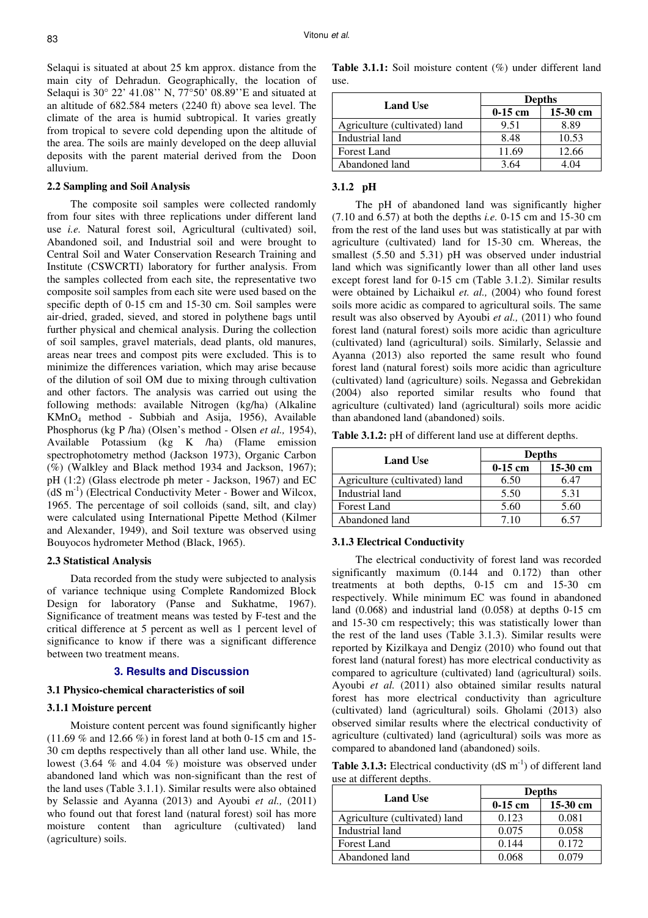Selaqui is situated at about 25 km approx. distance from the main city of Dehradun. Geographically, the location of Selaqui is 30° 22' 41.08'' N, 77°50' 08.89''E and situated at an altitude of 682.584 meters (2240 ft) above sea level. The climate of the area is humid subtropical. It varies greatly from tropical to severe cold depending upon the altitude of the area. The soils are mainly developed on the deep alluvial deposits with the parent material derived from the Doon alluvium.

## **2.2 Sampling and Soil Analysis**

The composite soil samples were collected randomly from four sites with three replications under different land use *i.e.* Natural forest soil, Agricultural (cultivated) soil, Abandoned soil, and Industrial soil and were brought to Central Soil and Water Conservation Research Training and Institute (CSWCRTI) laboratory for further analysis. From the samples collected from each site, the representative two composite soil samples from each site were used based on the specific depth of 0-15 cm and 15-30 cm. Soil samples were air-dried, graded, sieved, and stored in polythene bags until further physical and chemical analysis. During the collection of soil samples, gravel materials, dead plants, old manures, areas near trees and compost pits were excluded. This is to minimize the differences variation, which may arise because of the dilution of soil OM due to mixing through cultivation and other factors. The analysis was carried out using the following methods: available Nitrogen (kg/ha) (Alkaline KMnO4 method - Subbiah and Asija, 1956), Available Phosphorus (kg P /ha) (Olsen's method - Olsen *et al.,* 1954), Available Potassium (kg K /ha) (Flame emission spectrophotometry method (Jackson 1973), Organic Carbon (%) (Walkley and Black method 1934 and Jackson, 1967); pH (1:2) (Glass electrode ph meter - Jackson, 1967) and EC  $(dS \, m^{-1})$  (Electrical Conductivity Meter - Bower and Wilcox, 1965. The percentage of soil colloids (sand, silt, and clay) were calculated using International Pipette Method (Kilmer and Alexander, 1949), and Soil texture was observed using Bouyocos hydrometer Method (Black, 1965).

### **2.3 Statistical Analysis**

Data recorded from the study were subjected to analysis of variance technique using Complete Randomized Block Design for laboratory (Panse and Sukhatme, 1967). Significance of treatment means was tested by F-test and the critical difference at 5 percent as well as 1 percent level of significance to know if there was a significant difference between two treatment means.

## **3. Results and Discussion**

#### **3.1 Physico-chemical characteristics of soil**

## **3.1.1 Moisture percent**

Moisture content percent was found significantly higher (11.69 % and 12.66 %) in forest land at both 0-15 cm and 15- 30 cm depths respectively than all other land use. While, the lowest (3.64 % and 4.04 %) moisture was observed under abandoned land which was non-significant than the rest of the land uses (Table 3.1.1). Similar results were also obtained by Selassie and Ayanna (2013) and Ayoubi *et al.,* (2011) who found out that forest land (natural forest) soil has more moisture content than agriculture (cultivated) land (agriculture) soils.

**Table 3.1.1:** Soil moisture content (%) under different land use.

| <b>Land Use</b>               | <b>Depths</b> |            |  |
|-------------------------------|---------------|------------|--|
|                               | $0-15$ cm     | $15-30$ cm |  |
| Agriculture (cultivated) land | 9.51          | 8.89       |  |
| Industrial land               | 8.48          | 10.53      |  |
| <b>Forest Land</b>            | 11.69         | 12.66      |  |
| Abandoned land                | 3.64          |            |  |

## **3.1.2 pH**

The pH of abandoned land was significantly higher (7.10 and 6.57) at both the depths *i.e.* 0-15 cm and 15-30 cm from the rest of the land uses but was statistically at par with agriculture (cultivated) land for 15-30 cm. Whereas, the smallest (5.50 and 5.31) pH was observed under industrial land which was significantly lower than all other land uses except forest land for 0-15 cm (Table 3.1.2). Similar results were obtained by Lichaikul *et. al.,* (2004) who found forest soils more acidic as compared to agricultural soils. The same result was also observed by Ayoubi *et al.,* (2011) who found forest land (natural forest) soils more acidic than agriculture (cultivated) land (agricultural) soils. Similarly, Selassie and Ayanna (2013) also reported the same result who found forest land (natural forest) soils more acidic than agriculture (cultivated) land (agriculture) soils. Negassa and Gebrekidan (2004) also reported similar results who found that agriculture (cultivated) land (agricultural) soils more acidic than abandoned land (abandoned) soils.

**Table 3.1.2:** pH of different land use at different depths.

| <b>Land Use</b>               | <b>Depths</b> |          |  |
|-------------------------------|---------------|----------|--|
|                               | $0-15$ cm     | 15-30 cm |  |
| Agriculture (cultivated) land | 6.50          | 6.47     |  |
| Industrial land               | 5.50          | 5.31     |  |
| <b>Forest Land</b>            | 5.60          | 5.60     |  |
| Abandoned land                | 7.10          |          |  |

## **3.1.3 Electrical Conductivity**

The electrical conductivity of forest land was recorded significantly maximum (0.144 and 0.172) than other treatments at both depths, 0-15 cm and 15-30 cm respectively. While minimum EC was found in abandoned land (0.068) and industrial land (0.058) at depths 0-15 cm and 15-30 cm respectively; this was statistically lower than the rest of the land uses (Table 3.1.3). Similar results were reported by Kizilkaya and Dengiz (2010) who found out that forest land (natural forest) has more electrical conductivity as compared to agriculture (cultivated) land (agricultural) soils. Ayoubi *et al.* (2011) also obtained similar results natural forest has more electrical conductivity than agriculture (cultivated) land (agricultural) soils. Gholami (2013) also observed similar results where the electrical conductivity of agriculture (cultivated) land (agricultural) soils was more as compared to abandoned land (abandoned) soils.

**Table 3.1.3:** Electrical conductivity  $(dS \text{ m}^{-1})$  of different land use at different depths.

| <b>Land Use</b>               | <b>Depths</b> |          |  |
|-------------------------------|---------------|----------|--|
|                               | $0-15$ cm     | 15-30 cm |  |
| Agriculture (cultivated) land | 0.123         | 0.081    |  |
| Industrial land               | 0.075         | 0.058    |  |
| Forest Land                   | 0.144         | 0.172    |  |
| Abandoned land                | ) በ68         | 0.079    |  |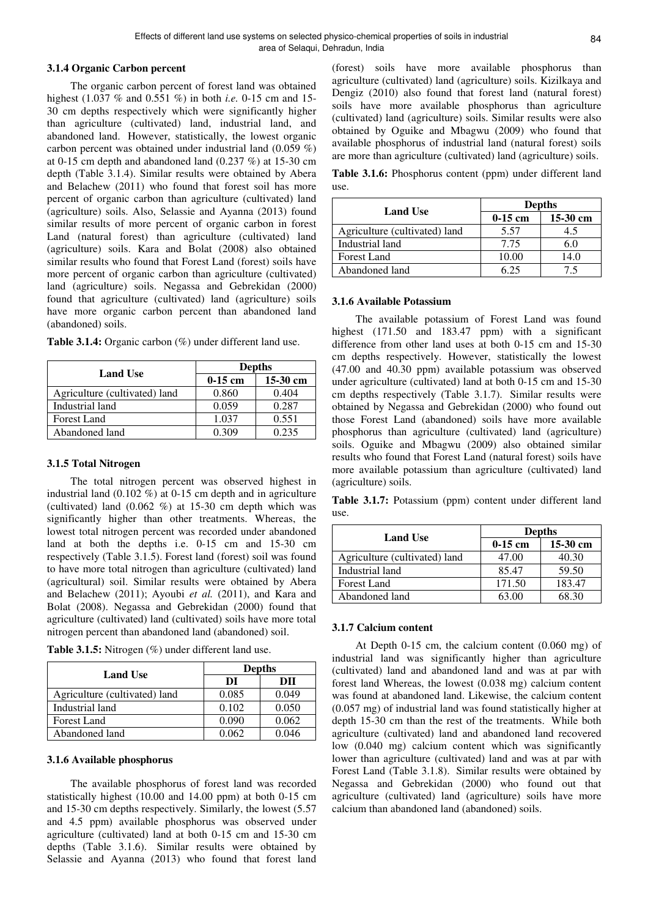## **3.1.4 Organic Carbon percent**

The organic carbon percent of forest land was obtained highest (1.037 % and 0.551 %) in both *i.e.* 0-15 cm and 15- 30 cm depths respectively which were significantly higher than agriculture (cultivated) land, industrial land, and abandoned land. However, statistically, the lowest organic carbon percent was obtained under industrial land (0.059 %) at 0-15 cm depth and abandoned land  $(0.237 \%)$  at 15-30 cm depth (Table 3.1.4). Similar results were obtained by Abera and Belachew (2011) who found that forest soil has more percent of organic carbon than agriculture (cultivated) land (agriculture) soils. Also, Selassie and Ayanna (2013) found similar results of more percent of organic carbon in forest Land (natural forest) than agriculture (cultivated) land (agriculture) soils. Kara and Bolat (2008) also obtained similar results who found that Forest Land (forest) soils have more percent of organic carbon than agriculture (cultivated) land (agriculture) soils. Negassa and Gebrekidan (2000) found that agriculture (cultivated) land (agriculture) soils have more organic carbon percent than abandoned land (abandoned) soils.

| <b>Land Use</b>               | <b>Depths</b> |            |  |
|-------------------------------|---------------|------------|--|
|                               | $0-15$ cm     | $15-30$ cm |  |
| Agriculture (cultivated) land | 0.860         | 0.404      |  |
| Industrial land               | 0.059         | 0.287      |  |
| Forest Land                   | 1.037         | 0.551      |  |
| Abandoned land                | 0 309         | 0 235      |  |

**Table 3.1.4:** Organic carbon (%) under different land use.

## **3.1.5 Total Nitrogen**

The total nitrogen percent was observed highest in industrial land  $(0.102\%)$  at 0-15 cm depth and in agriculture (cultivated) land  $(0.062 \%)$  at 15-30 cm depth which was significantly higher than other treatments. Whereas, the lowest total nitrogen percent was recorded under abandoned land at both the depths i.e. 0-15 cm and 15-30 cm respectively (Table 3.1.5). Forest land (forest) soil was found to have more total nitrogen than agriculture (cultivated) land (agricultural) soil. Similar results were obtained by Abera and Belachew (2011); Ayoubi *et al.* (2011), and Kara and Bolat (2008). Negassa and Gebrekidan (2000) found that agriculture (cultivated) land (cultivated) soils have more total nitrogen percent than abandoned land (abandoned) soil.

**Table 3.1.5:** Nitrogen (%) under different land use.

| <b>Land Use</b>               | <b>Depths</b> |       |  |
|-------------------------------|---------------|-------|--|
|                               | DI            | ÐН    |  |
| Agriculture (cultivated) land | 0.085         | 0.049 |  |
| Industrial land               | 0.102         | 0.050 |  |
| <b>Forest Land</b>            | 0.090         | 0.062 |  |
| Abandoned land                | 0.062         | 0.046 |  |

### **3.1.6 Available phosphorus**

The available phosphorus of forest land was recorded statistically highest (10.00 and 14.00 ppm) at both 0-15 cm and 15-30 cm depths respectively. Similarly, the lowest (5.57 and 4.5 ppm) available phosphorus was observed under agriculture (cultivated) land at both 0-15 cm and 15-30 cm depths (Table 3.1.6). Similar results were obtained by Selassie and Ayanna (2013) who found that forest land

(forest) soils have more available phosphorus than agriculture (cultivated) land (agriculture) soils. Kizilkaya and Dengiz (2010) also found that forest land (natural forest) soils have more available phosphorus than agriculture (cultivated) land (agriculture) soils. Similar results were also obtained by Oguike and Mbagwu (2009) who found that available phosphorus of industrial land (natural forest) soils are more than agriculture (cultivated) land (agriculture) soils.

**Table 3.1.6:** Phosphorus content (ppm) under different land use.

|                               | <b>Depths</b> |            |  |
|-------------------------------|---------------|------------|--|
| <b>Land Use</b>               | $0-15$ cm     | $15-30$ cm |  |
| Agriculture (cultivated) land | 5.57          | 4.5        |  |
| Industrial land               | 7.75          | 60         |  |
| Forest Land                   | 10.00         | 14.0       |  |
| Abandoned land                | 6 25          |            |  |

## **3.1.6 Available Potassium**

The available potassium of Forest Land was found highest (171.50 and 183.47 ppm) with a significant difference from other land uses at both 0-15 cm and 15-30 cm depths respectively. However, statistically the lowest (47.00 and 40.30 ppm) available potassium was observed under agriculture (cultivated) land at both 0-15 cm and 15-30 cm depths respectively (Table 3.1.7). Similar results were obtained by Negassa and Gebrekidan (2000) who found out those Forest Land (abandoned) soils have more available phosphorus than agriculture (cultivated) land (agriculture) soils. Oguike and Mbagwu (2009) also obtained similar results who found that Forest Land (natural forest) soils have more available potassium than agriculture (cultivated) land (agriculture) soils.

**Table 3.1.7:** Potassium (ppm) content under different land use.

|                               | <b>Depths</b> |            |  |
|-------------------------------|---------------|------------|--|
| <b>Land Use</b>               | $0-15$ cm     | $15-30$ cm |  |
| Agriculture (cultivated) land | 47.00         | 40.30      |  |
| Industrial land               | 85.47         | 59.50      |  |
| <b>Forest Land</b>            | 171.50        | 183.47     |  |
| Abandoned land                |               | 68.30      |  |

## **3.1.7 Calcium content**

At Depth 0-15 cm, the calcium content (0.060 mg) of industrial land was significantly higher than agriculture (cultivated) land and abandoned land and was at par with forest land Whereas, the lowest (0.038 mg) calcium content was found at abandoned land. Likewise, the calcium content (0.057 mg) of industrial land was found statistically higher at depth 15-30 cm than the rest of the treatments. While both agriculture (cultivated) land and abandoned land recovered low (0.040 mg) calcium content which was significantly lower than agriculture (cultivated) land and was at par with Forest Land (Table 3.1.8). Similar results were obtained by Negassa and Gebrekidan (2000) who found out that agriculture (cultivated) land (agriculture) soils have more calcium than abandoned land (abandoned) soils.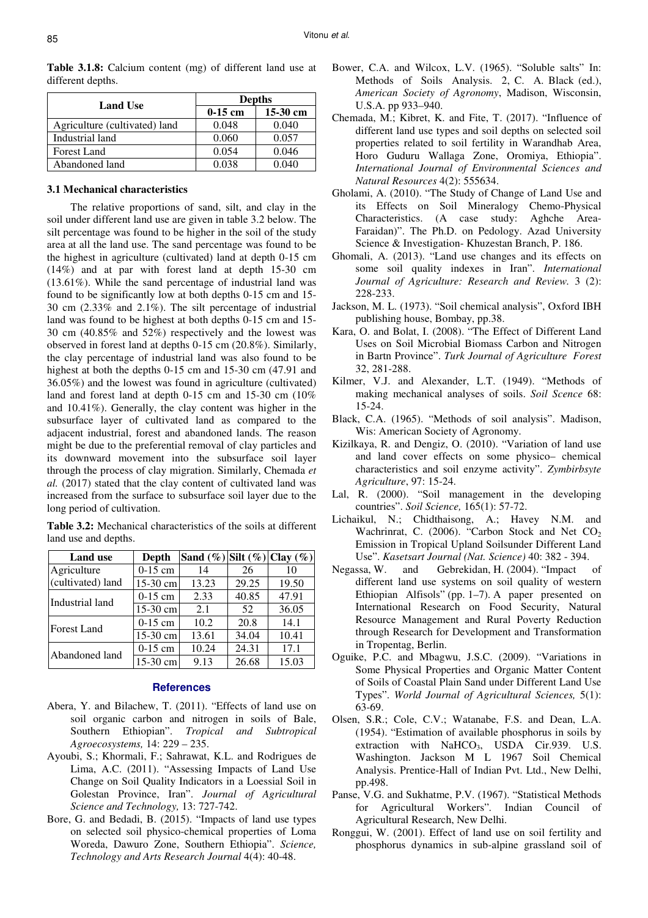| <b>Land Use</b>               | <b>Depths</b> |            |  |
|-------------------------------|---------------|------------|--|
|                               | $0-15$ cm     | $15-30$ cm |  |
| Agriculture (cultivated) land | 0.048         | 0.040      |  |
| Industrial land               | 0.060         | 0.057      |  |
| Forest Land                   | 0.054         | 0.046      |  |
| Abandoned land                | 0.038         | 0.040      |  |

**Table 3.1.8:** Calcium content (mg) of different land use at different depths.

## **3.1 Mechanical characteristics**

The relative proportions of sand, silt, and clay in the soil under different land use are given in table 3.2 below. The silt percentage was found to be higher in the soil of the study area at all the land use. The sand percentage was found to be the highest in agriculture (cultivated) land at depth 0-15 cm (14%) and at par with forest land at depth 15-30 cm (13.61%). While the sand percentage of industrial land was found to be significantly low at both depths 0-15 cm and 15- 30 cm (2.33% and 2.1%). The silt percentage of industrial land was found to be highest at both depths 0-15 cm and 15- 30 cm (40.85% and 52%) respectively and the lowest was observed in forest land at depths 0-15 cm (20.8%). Similarly, the clay percentage of industrial land was also found to be highest at both the depths 0-15 cm and 15-30 cm (47.91 and 36.05%) and the lowest was found in agriculture (cultivated) land and forest land at depth 0-15 cm and 15-30 cm (10% and 10.41%). Generally, the clay content was higher in the subsurface layer of cultivated land as compared to the adjacent industrial, forest and abandoned lands. The reason might be due to the preferential removal of clay particles and its downward movement into the subsurface soil layer through the process of clay migration. Similarly, Chemada *et al.* (2017) stated that the clay content of cultivated land was increased from the surface to subsurface soil layer due to the long period of cultivation.

**Table 3.2:** Mechanical characteristics of the soils at different land use and depths.

| <b>Land use</b>    | Depth     | Sand $(\%) $ Silt $(\%) $ Clay $(\%) $ |       |       |
|--------------------|-----------|----------------------------------------|-------|-------|
| Agriculture        | $0-15$ cm | 14                                     | 26    | 10    |
| (cultivated) land  | 15-30 cm  | 13.23                                  | 29.25 | 19.50 |
| Industrial land    | $0-15$ cm | 2.33                                   | 40.85 | 47.91 |
|                    | 15-30 cm  | 2.1                                    | 52    | 36.05 |
| <b>Forest Land</b> | $0-15$ cm | 10.2                                   | 20.8  | 14.1  |
|                    | 15-30 cm  | 13.61                                  | 34.04 | 10.41 |
| Abandoned land     | $0-15$ cm | 10.24                                  | 24.31 | 17.1  |
|                    | 15-30 cm  | 9.13                                   | 26.68 | 15.03 |

### **References**

- Abera, Y. and Bilachew, T. (2011). "Effects of land use on soil organic carbon and nitrogen in soils of Bale, Southern Ethiopian". *Tropical and Subtropical Agroecosystems,* 14: 229 – 235.
- Ayoubi, S.; Khormali, F.; Sahrawat, K.L. and Rodrigues de Lima, A.C. (2011). "Assessing Impacts of Land Use Change on Soil Quality Indicators in a Loessial Soil in Golestan Province, Iran". *Journal of Agricultural Science and Technology,* 13: 727-742.
- Bore, G. and Bedadi, B. (2015). "Impacts of land use types on selected soil physico-chemical properties of Loma Woreda, Dawuro Zone, Southern Ethiopia". *Science, Technology and Arts Research Journal* 4(4): 40-48.
- Bower, C.A. and Wilcox, L.V. (1965). "Soluble salts" In: Methods of Soils Analysis. 2, C. A. Black (ed.), *American Society of Agronomy*, Madison, Wisconsin, U.S.A. pp 933–940.
- Chemada, M.; Kibret, K. and Fite, T. (2017). "Influence of different land use types and soil depths on selected soil properties related to soil fertility in Warandhab Area, Horo Guduru Wallaga Zone, Oromiya, Ethiopia". *International Journal of Environmental Sciences and Natural Resources* 4(2): 555634.
- Gholami, A. (2010). "The Study of Change of Land Use and its Effects on Soil Mineralogy Chemo-Physical Characteristics. (A case study: Aghche Area-Faraidan)". The Ph.D. on Pedology. Azad University Science & Investigation- Khuzestan Branch, P. 186.
- Ghomali, A. (2013). "Land use changes and its effects on some soil quality indexes in Iran". *International Journal of Agriculture: Research and Review.* 3 (2): 228-233.
- Jackson, M. L. (1973). "Soil chemical analysis", Oxford IBH publishing house, Bombay, pp.38.
- Kara, O. and Bolat, I. (2008). "The Effect of Different Land Uses on Soil Microbial Biomass Carbon and Nitrogen in Bartn Province". *Turk Journal of Agriculture Forest*  32, 281-288.
- Kilmer, V.J. and Alexander, L.T. (1949). "Methods of making mechanical analyses of soils. *Soil Scence* 68: 15-24.
- Black, C.A. (1965). "Methods of soil analysis". Madison, Wis: American Society of Agronomy.
- Kizilkaya, R. and Dengiz, O. (2010). "Variation of land use and land cover effects on some physico– chemical characteristics and soil enzyme activity". *Zymbirbsyte Agriculture*, 97: 15-24.
- Lal, R. (2000). "Soil management in the developing countries". *Soil Science,* 165(1): 57-72.
- Lichaikul, N.; Chidthaisong, A.; Havey N.M. and Wachrinrat, C.  $(2006)$ . "Carbon Stock and Net CO<sub>2</sub> Emission in Tropical Upland Soilsunder Different Land Use". *Kasetsart Journal (Nat. Science)* 40: 382 - 394.
- Negassa, W. and Gebrekidan, H. (2004). "Impact of different land use systems on soil quality of western Ethiopian Alfisols" (pp. 1–7). A paper presented on International Research on Food Security, Natural Resource Management and Rural Poverty Reduction through Research for Development and Transformation in Tropentag, Berlin.
- Oguike, P.C. and Mbagwu, J.S.C. (2009). "Variations in Some Physical Properties and Organic Matter Content of Soils of Coastal Plain Sand under Different Land Use Types". *World Journal of Agricultural Sciences,* 5(1): 63-69.
- Olsen, S.R.; Cole, C.V.; Watanabe, F.S. and Dean, L.A. (1954). "Estimation of available phosphorus in soils by extraction with NaHCO<sub>3</sub>, USDA Cir.939. U.S. Washington. Jackson M L 1967 Soil Chemical Analysis. Prentice-Hall of Indian Pvt. Ltd., New Delhi, pp.498.
- Panse, V.G. and Sukhatme, P.V. (1967). "Statistical Methods for Agricultural Workers"*.* Indian Council of Agricultural Research, New Delhi.
- Ronggui, W. (2001). Effect of land use on soil fertility and phosphorus dynamics in sub-alpine grassland soil of